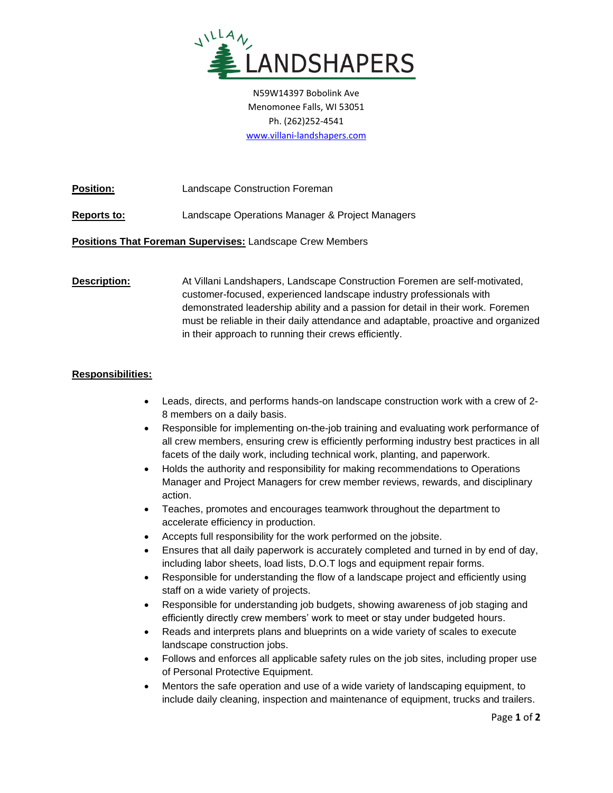

N59W14397 Bobolink Ave Menomonee Falls, WI 53051 Ph. (262)252-4541 [www.villani-landshapers.com](http://www.villani-landshapers.com/)

**Position:** Landscape Construction Foreman

**Reports to:** Landscape Operations Manager & Project Managers

**Positions That Foreman Supervises:** Landscape Crew Members

**Description:** At Villani Landshapers, Landscape Construction Foremen are self-motivated, customer-focused, experienced landscape industry professionals with demonstrated leadership ability and a passion for detail in their work. Foremen must be reliable in their daily attendance and adaptable, proactive and organized in their approach to running their crews efficiently.

## **Responsibilities:**

- Leads, directs, and performs hands-on landscape construction work with a crew of 2- 8 members on a daily basis.
- Responsible for implementing on-the-job training and evaluating work performance of all crew members, ensuring crew is efficiently performing industry best practices in all facets of the daily work, including technical work, planting, and paperwork.
- Holds the authority and responsibility for making recommendations to Operations Manager and Project Managers for crew member reviews, rewards, and disciplinary action.
- Teaches, promotes and encourages teamwork throughout the department to accelerate efficiency in production.
- Accepts full responsibility for the work performed on the jobsite.
- Ensures that all daily paperwork is accurately completed and turned in by end of day, including labor sheets, load lists, D.O.T logs and equipment repair forms.
- Responsible for understanding the flow of a landscape project and efficiently using staff on a wide variety of projects.
- Responsible for understanding job budgets, showing awareness of job staging and efficiently directly crew members' work to meet or stay under budgeted hours.
- Reads and interprets plans and blueprints on a wide variety of scales to execute landscape construction jobs.
- Follows and enforces all applicable safety rules on the job sites, including proper use of Personal Protective Equipment.
- Mentors the safe operation and use of a wide variety of landscaping equipment, to include daily cleaning, inspection and maintenance of equipment, trucks and trailers.